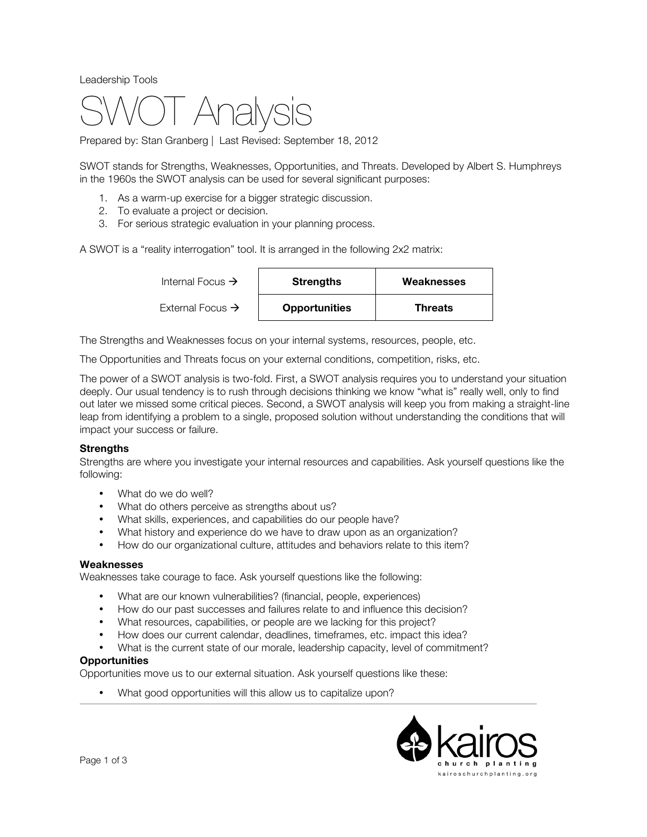Leadership Tools



Prepared by: Stan Granberg | Last Revised: September 18, 2012

SWOT stands for Strengths, Weaknesses, Opportunities, and Threats. Developed by Albert S. Humphreys in the 1960s the SWOT analysis can be used for several significant purposes:

- 1. As a warm-up exercise for a bigger strategic discussion.
- 2. To evaluate a project or decision.
- 3. For serious strategic evaluation in your planning process.

A SWOT is a "reality interrogation" tool. It is arranged in the following 2x2 matrix:

| Internal Focus $\rightarrow$ | <b>Strengths</b><br><b>Opportunities</b> | Weaknesses     |
|------------------------------|------------------------------------------|----------------|
| External Focus $\rightarrow$ |                                          | <b>Threats</b> |

The Strengths and Weaknesses focus on your internal systems, resources, people, etc.

The Opportunities and Threats focus on your external conditions, competition, risks, etc.

The power of a SWOT analysis is two-fold. First, a SWOT analysis requires you to understand your situation deeply. Our usual tendency is to rush through decisions thinking we know "what is" really well, only to find out later we missed some critical pieces. Second, a SWOT analysis will keep you from making a straight-line leap from identifying a problem to a single, proposed solution without understanding the conditions that will impact your success or failure.

### **Strengths**

Strengths are where you investigate your internal resources and capabilities. Ask yourself questions like the following:

- What do we do well?
- What do others perceive as strengths about us?
- What skills, experiences, and capabilities do our people have?
- What history and experience do we have to draw upon as an organization?
- How do our organizational culture, attitudes and behaviors relate to this item?

### **Weaknesses**

Weaknesses take courage to face. Ask yourself questions like the following:

- What are our known vulnerabilities? (financial, people, experiences)<br>• How do our past successes and failures relate to and influence this
- How do our past successes and failures relate to and influence this decision?
- What resources, capabilities, or people are we lacking for this project?
- How does our current calendar, deadlines, timeframes, etc. impact this idea?
- What is the current state of our morale, leadership capacity, level of commitment?

### **Opportunities**

Opportunities move us to our external situation. Ask yourself questions like these:

• What good opportunities will this allow us to capitalize upon?

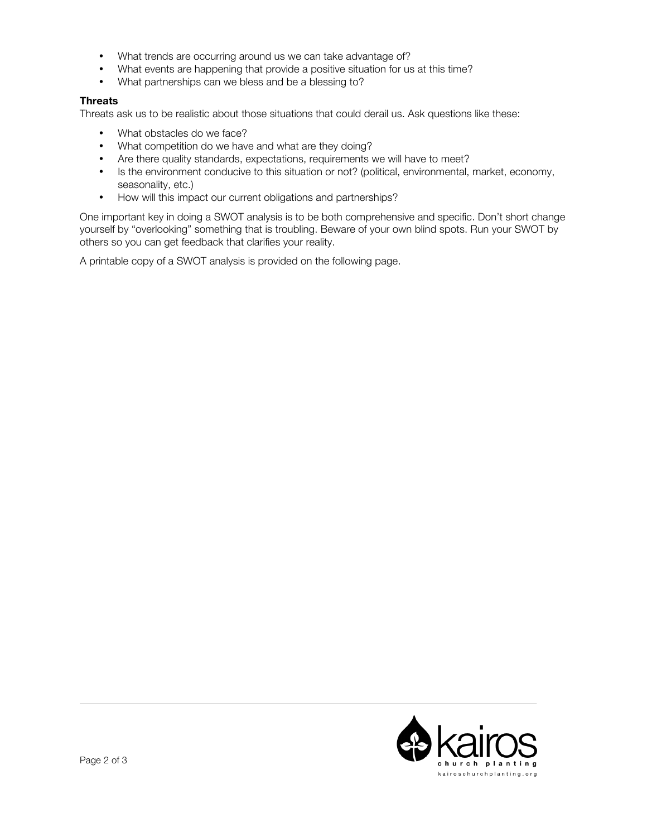- What trends are occurring around us we can take advantage of?
- What events are happening that provide a positive situation for us at this time?<br>• What partnerships can we bless and be a blessing to?
- What partnerships can we bless and be a blessing to?

## **Threats**

Threats ask us to be realistic about those situations that could derail us. Ask questions like these:

- What obstacles do we face?
- What competition do we have and what are they doing?
- Are there quality standards, expectations, requirements we will have to meet?
- Is the environment conducive to this situation or not? (political, environmental, market, economy, seasonality, etc.)
- How will this impact our current obligations and partnerships?

One important key in doing a SWOT analysis is to be both comprehensive and specific. Don't short change yourself by "overlooking" something that is troubling. Beware of your own blind spots. Run your SWOT by others so you can get feedback that clarifies your reality.

A printable copy of a SWOT analysis is provided on the following page.